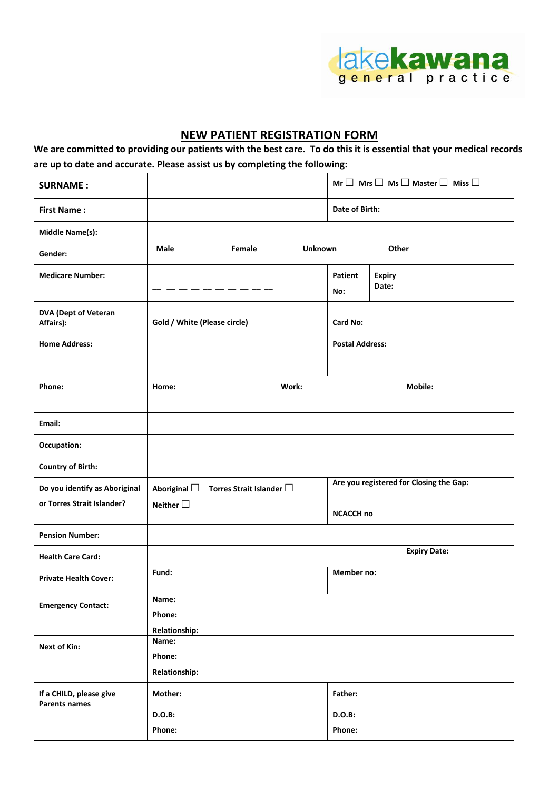

## **NEW PATIENT REGISTRATION FORM**

**We are committed to providing our patients with the best care. To do this it is essential that your medical records are up to date and accurate. Please assist us by completing the following:**

| <b>SURNAME:</b>                                             |                                                                            |            | Mr $\Box$ Mrs $\Box$ Ms $\Box$ Master $\Box$ Miss $\Box$    |                        |                     |
|-------------------------------------------------------------|----------------------------------------------------------------------------|------------|-------------------------------------------------------------|------------------------|---------------------|
| <b>First Name:</b>                                          |                                                                            |            | Date of Birth:                                              |                        |                     |
| Middle Name(s):                                             |                                                                            |            |                                                             |                        |                     |
| Gender:                                                     | Male<br>Female<br><b>Unknown</b>                                           |            | Other                                                       |                        |                     |
| <b>Medicare Number:</b>                                     |                                                                            |            | Patient<br>No:                                              | <b>Expiry</b><br>Date: |                     |
| <b>DVA (Dept of Veteran</b><br>Affairs):                    | Gold / White (Please circle)                                               |            | Card No:                                                    |                        |                     |
| <b>Home Address:</b>                                        |                                                                            |            | <b>Postal Address:</b>                                      |                        |                     |
| Phone:                                                      | Home:<br>Work:                                                             |            |                                                             |                        | Mobile:             |
| Email:                                                      |                                                                            |            |                                                             |                        |                     |
| Occupation:                                                 |                                                                            |            |                                                             |                        |                     |
| <b>Country of Birth:</b>                                    |                                                                            |            |                                                             |                        |                     |
| Do you identify as Aboriginal<br>or Torres Strait Islander? | Aboriginal $\square$<br>Torres Strait Islander $\Box$<br>Neither $\square$ |            | Are you registered for Closing the Gap:<br><b>NCACCH no</b> |                        |                     |
| <b>Pension Number:</b>                                      |                                                                            |            |                                                             |                        |                     |
| <b>Health Care Card:</b>                                    |                                                                            |            |                                                             |                        | <b>Expiry Date:</b> |
| <b>Private Health Cover:</b>                                | Fund:                                                                      | Member no: |                                                             |                        |                     |
| <b>Emergency Contact:</b>                                   | Name:<br>Phone:<br><b>Relationship:</b>                                    |            |                                                             |                        |                     |
| <b>Next of Kin:</b>                                         | Name:<br>Phone:<br><b>Relationship:</b>                                    |            |                                                             |                        |                     |
| If a CHILD, please give<br><b>Parents names</b>             | Mother:                                                                    |            | Father:                                                     |                        |                     |
|                                                             | D.O.B:                                                                     |            | D.O.B:                                                      |                        |                     |
|                                                             | Phone:                                                                     | Phone:     |                                                             |                        |                     |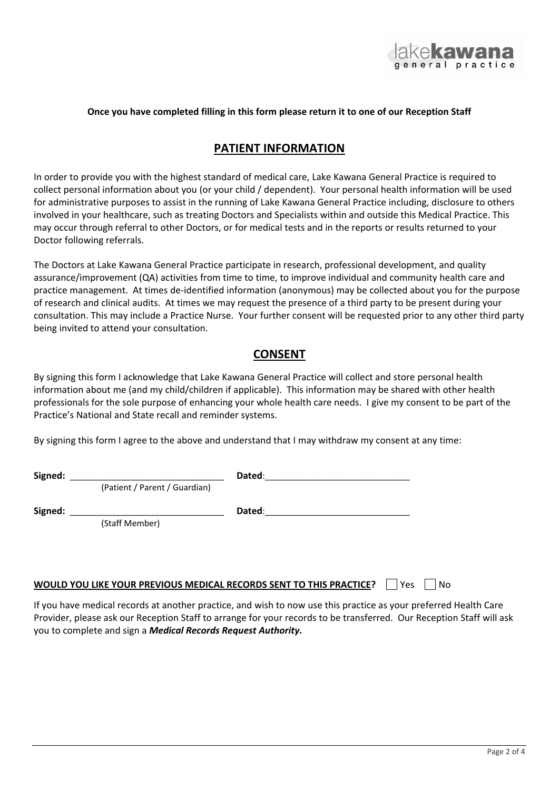

#### **Once you have completed filling in this form please return it to one of our Reception Staff**

#### **PATIENT INFORMATION**

In order to provide you with the highest standard of medical care, Lake Kawana General Practice is required to collect personal information about you (or your child / dependent). Your personal health information will be used for administrative purposes to assist in the running of Lake Kawana General Practice including, disclosure to others involved in your healthcare, such as treating Doctors and Specialists within and outside this Medical Practice. This may occur through referral to other Doctors, or for medical tests and in the reports or results returned to your Doctor following referrals.

The Doctors at Lake Kawana General Practice participate in research, professional development, and quality assurance/improvement (QA) activities from time to time, to improve individual and community health care and practice management. At times de-identified information (anonymous) may be collected about you for the purpose of research and clinical audits. At times we may request the presence of a third party to be present during your consultation. This may include a Practice Nurse. Your further consent will be requested prior to any other third party being invited to attend your consultation.

### **CONSENT**

By signing this form I acknowledge that Lake Kawana General Practice will collect and store personal health information about me (and my child/children if applicable). This information may be shared with other health professionals for the sole purpose of enhancing your whole health care needs. I give my consent to be part of the Practice's National and State recall and reminder systems.

By signing this form I agree to the above and understand that I may withdraw my consent at any time:

| Signed: |                               | Dated:                                                                                                           |      |
|---------|-------------------------------|------------------------------------------------------------------------------------------------------------------|------|
|         | (Patient / Parent / Guardian) |                                                                                                                  |      |
| Signed: |                               | Dated:                                                                                                           |      |
|         | (Staff Member)                |                                                                                                                  |      |
|         |                               |                                                                                                                  |      |
|         |                               |                                                                                                                  |      |
|         |                               | WOULD YOU LIKE YOUR PREVIOUS MEDICAL RECORDS SENT TO THIS PRACTICE?<br>Yes                                       | l No |
|         |                               | If you have medical records at another practice, and wish to now use this practice as your preferred Health Care |      |

Provider, please ask our Reception Staff to arrange for your records to be transferred. Our Reception Staff will ask you to complete and sign a *Medical Records Request Authority.*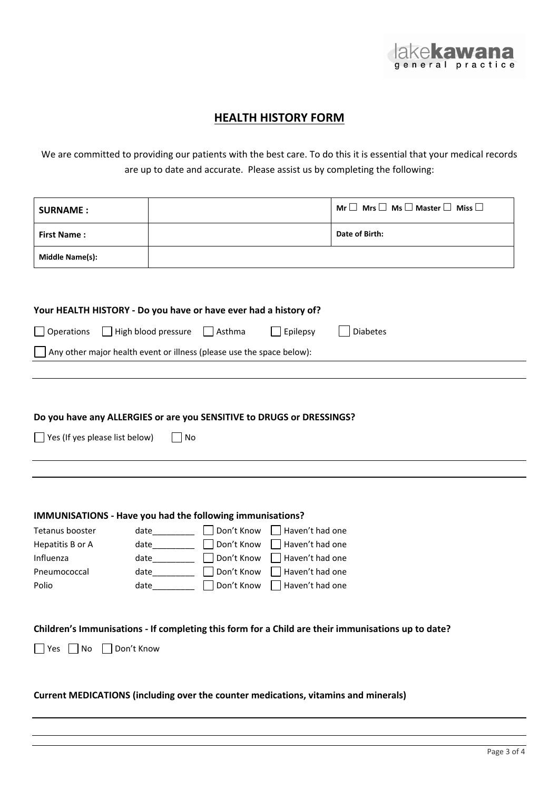

# **HEALTH HISTORY FORM**

We are committed to providing our patients with the best care. To do this it is essential that your medical records are up to date and accurate. Please assist us by completing the following:

| <b>SURNAME:</b>                                                                                                      |                                                                       |                 | Mr $\Box$ Mrs $\Box$ Ms $\Box$ Master $\Box$ Miss $\Box$ |  |
|----------------------------------------------------------------------------------------------------------------------|-----------------------------------------------------------------------|-----------------|----------------------------------------------------------|--|
| <b>First Name:</b>                                                                                                   |                                                                       |                 | Date of Birth:                                           |  |
| <b>Middle Name(s):</b>                                                                                               |                                                                       |                 |                                                          |  |
|                                                                                                                      |                                                                       |                 |                                                          |  |
|                                                                                                                      | Your HEALTH HISTORY - Do you have or have ever had a history of?      |                 |                                                          |  |
| $\Box$ Operations<br>High blood pressure                                                                             | $\vert$ Asthma                                                        | Epilepsy        | <b>Diabetes</b>                                          |  |
|                                                                                                                      | Any other major health event or illness (please use the space below): |                 |                                                          |  |
|                                                                                                                      |                                                                       |                 |                                                          |  |
| Do you have any ALLERGIES or are you SENSITIVE to DRUGS or DRESSINGS?<br>$\Box$ Yes (If yes please list below)<br>No |                                                                       |                 |                                                          |  |
|                                                                                                                      |                                                                       |                 |                                                          |  |
|                                                                                                                      |                                                                       |                 |                                                          |  |
|                                                                                                                      | IMMUNISATIONS - Have you had the following immunisations?             |                 |                                                          |  |
| Tetanus booster                                                                                                      | Don't Know<br>date                                                    | Haven't had one |                                                          |  |
| Hepatitis B or A                                                                                                     | Don't Know                                                            | Haven't had one |                                                          |  |
| Influenza                                                                                                            | Don't Know<br>date__________                                          | Haven't had one |                                                          |  |
| Pneumococcal                                                                                                         | Don't Know<br>Haven't had one<br>date                                 |                 |                                                          |  |
| Polio                                                                                                                | Don't Know                                                            | Haven't had one |                                                          |  |
|                                                                                                                      |                                                                       |                 |                                                          |  |
| Children's Immunisations - If completing this form for a Child are their immunisations up to date?                   |                                                                       |                 |                                                          |  |
| $\Box$ Yes $\Box$ No<br>$\Box$ Don't Know                                                                            |                                                                       |                 |                                                          |  |
| Current MEDICATIONS (including over the counter medications, vitamins and minerals)                                  |                                                                       |                 |                                                          |  |